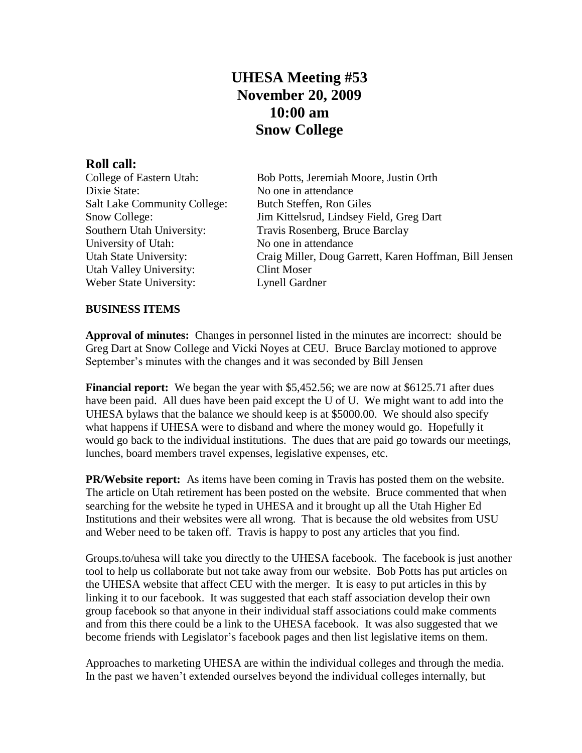## **UHESA Meeting #53 November 20, 2009 10:00 am Snow College**

**Roll call:** Dixie State: No one in attendance Salt Lake Community College: Butch Steffen, Ron Giles University of Utah: No one in attendance Utah Valley University: Clint Moser Weber State University: Lynell Gardner

Bob Potts, Jeremiah Moore, Justin Orth Snow College: Jim Kittelsrud, Lindsey Field, Greg Dart Southern Utah University: Travis Rosenberg, Bruce Barclay Utah State University: Craig Miller, Doug Garrett, Karen Hoffman, Bill Jensen

## **BUSINESS ITEMS**

**Approval of minutes:** Changes in personnel listed in the minutes are incorrect: should be Greg Dart at Snow College and Vicki Noyes at CEU. Bruce Barclay motioned to approve September's minutes with the changes and it was seconded by Bill Jensen

**Financial report:** We began the year with \$5,452.56; we are now at \$6125.71 after dues have been paid. All dues have been paid except the U of U. We might want to add into the UHESA bylaws that the balance we should keep is at \$5000.00. We should also specify what happens if UHESA were to disband and where the money would go. Hopefully it would go back to the individual institutions. The dues that are paid go towards our meetings, lunches, board members travel expenses, legislative expenses, etc.

**PR/Website report:** As items have been coming in Travis has posted them on the website. The article on Utah retirement has been posted on the website. Bruce commented that when searching for the website he typed in UHESA and it brought up all the Utah Higher Ed Institutions and their websites were all wrong. That is because the old websites from USU and Weber need to be taken off. Travis is happy to post any articles that you find.

Groups.to/uhesa will take you directly to the UHESA facebook. The facebook is just another tool to help us collaborate but not take away from our website. Bob Potts has put articles on the UHESA website that affect CEU with the merger. It is easy to put articles in this by linking it to our facebook. It was suggested that each staff association develop their own group facebook so that anyone in their individual staff associations could make comments and from this there could be a link to the UHESA facebook. It was also suggested that we become friends with Legislator's facebook pages and then list legislative items on them.

Approaches to marketing UHESA are within the individual colleges and through the media. In the past we haven't extended ourselves beyond the individual colleges internally, but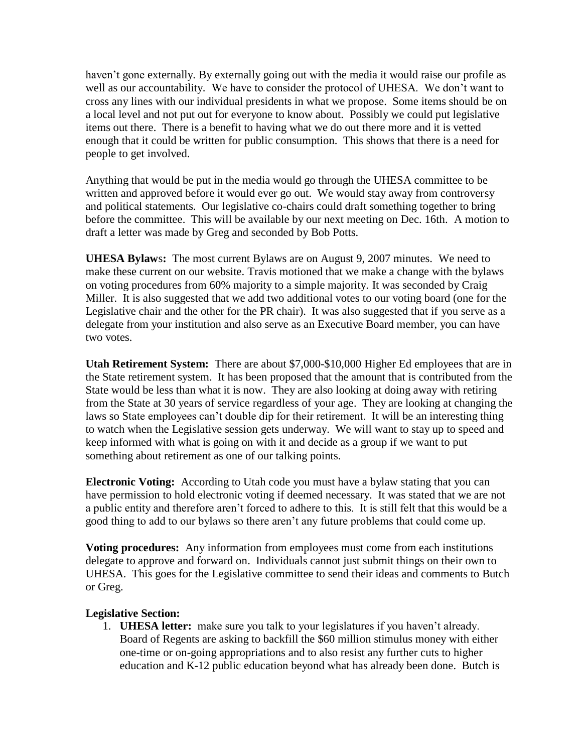haven't gone externally. By externally going out with the media it would raise our profile as well as our accountability. We have to consider the protocol of UHESA. We don't want to cross any lines with our individual presidents in what we propose. Some items should be on a local level and not put out for everyone to know about. Possibly we could put legislative items out there. There is a benefit to having what we do out there more and it is vetted enough that it could be written for public consumption. This shows that there is a need for people to get involved.

Anything that would be put in the media would go through the UHESA committee to be written and approved before it would ever go out. We would stay away from controversy and political statements. Our legislative co-chairs could draft something together to bring before the committee. This will be available by our next meeting on Dec. 16th. A motion to draft a letter was made by Greg and seconded by Bob Potts.

**UHESA Bylaw**s**:** The most current Bylaws are on August 9, 2007 minutes. We need to make these current on our website. Travis motioned that we make a change with the bylaws on voting procedures from 60% majority to a simple majority. It was seconded by Craig Miller. It is also suggested that we add two additional votes to our voting board (one for the Legislative chair and the other for the PR chair). It was also suggested that if you serve as a delegate from your institution and also serve as an Executive Board member, you can have two votes.

**Utah Retirement System:** There are about \$7,000-\$10,000 Higher Ed employees that are in the State retirement system. It has been proposed that the amount that is contributed from the State would be less than what it is now. They are also looking at doing away with retiring from the State at 30 years of service regardless of your age. They are looking at changing the laws so State employees can't double dip for their retirement. It will be an interesting thing to watch when the Legislative session gets underway. We will want to stay up to speed and keep informed with what is going on with it and decide as a group if we want to put something about retirement as one of our talking points.

**Electronic Voting:** According to Utah code you must have a bylaw stating that you can have permission to hold electronic voting if deemed necessary. It was stated that we are not a public entity and therefore aren't forced to adhere to this. It is still felt that this would be a good thing to add to our bylaws so there aren't any future problems that could come up.

**Voting procedures:** Any information from employees must come from each institutions delegate to approve and forward on. Individuals cannot just submit things on their own to UHESA. This goes for the Legislative committee to send their ideas and comments to Butch or Greg.

## **Legislative Section:**

1. **UHESA letter:** make sure you talk to your legislatures if you haven't already. Board of Regents are asking to backfill the \$60 million stimulus money with either one-time or on-going appropriations and to also resist any further cuts to higher education and K-12 public education beyond what has already been done. Butch is